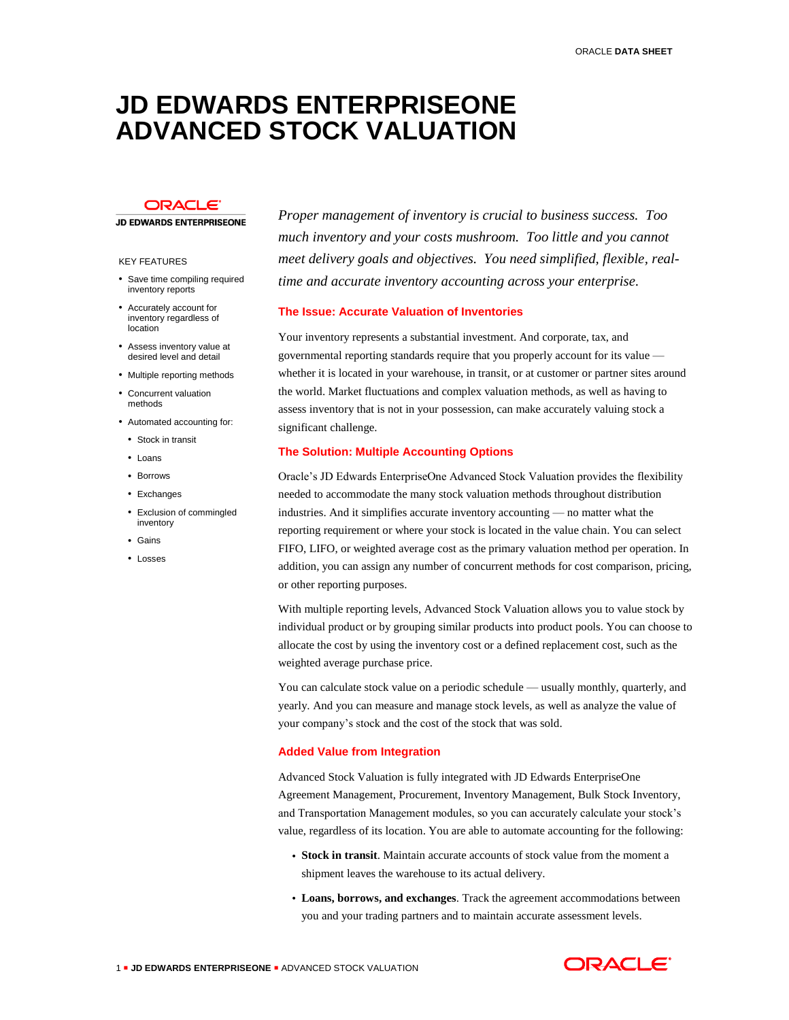# **JD EDWARDS ENTERPRISEONE ADVANCED STOCK VALUATION**

# **ORACLE**

**JD EDWARDS ENTERPRISEONE** 

#### KEY FEATURES

- Save time compiling required inventory reports
- Accurately account for inventory regardless of location
- Assess inventory value at desired level and detail
- Multiple reporting methods
- Concurrent valuation methods
- Automated accounting for:
	- Stock in transit
- Loans
- Borrows
- Exchanges
- Exclusion of commingled inventory
- Gains
- $\cdot$  Losses

*Proper management of inventory is crucial to business success. Too much inventory and your costs mushroom. Too little and you cannot meet delivery goals and objectives. You need simplified, flexible, realtime and accurate inventory accounting across your enterprise.* 

# **The Issue: Accurate Valuation of Inventories**

Your inventory represents a substantial investment. And corporate, tax, and governmental reporting standards require that you properly account for its value whether it is located in your warehouse, in transit, or at customer or partner sites around the world. Market fluctuations and complex valuation methods, as well as having to assess inventory that is not in your possession, can make accurately valuing stock a significant challenge.

### **The Solution: Multiple Accounting Options**

Oracle's JD Edwards EnterpriseOne Advanced Stock Valuation provides the flexibility needed to accommodate the many stock valuation methods throughout distribution industries. And it simplifies accurate inventory accounting — no matter what the reporting requirement or where your stock is located in the value chain. You can select FIFO, LIFO, or weighted average cost as the primary valuation method per operation. In addition, you can assign any number of concurrent methods for cost comparison, pricing, or other reporting purposes.

With multiple reporting levels, Advanced Stock Valuation allows you to value stock by individual product or by grouping similar products into product pools. You can choose to allocate the cost by using the inventory cost or a defined replacement cost, such as the weighted average purchase price.

You can calculate stock value on a periodic schedule — usually monthly, quarterly, and yearly. And you can measure and manage stock levels, as well as analyze the value of your company's stock and the cost of the stock that was sold.

### **Added Value from Integration**

Advanced Stock Valuation is fully integrated with JD Edwards EnterpriseOne Agreement Management, Procurement, Inventory Management, Bulk Stock Inventory, and Transportation Management modules, so you can accurately calculate your stock's value, regardless of its location. You are able to automate accounting for the following:

- **Stock in transit**. Maintain accurate accounts of stock value from the moment a shipment leaves the warehouse to its actual delivery.
- **Loans, borrows, and exchanges**. Track the agreement accommodations between you and your trading partners and to maintain accurate assessment levels.